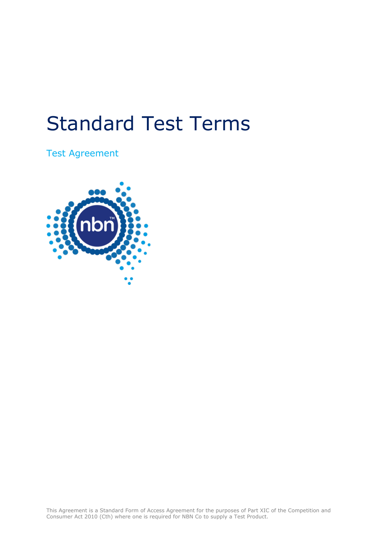# Standard Test Terms

Test Agreement

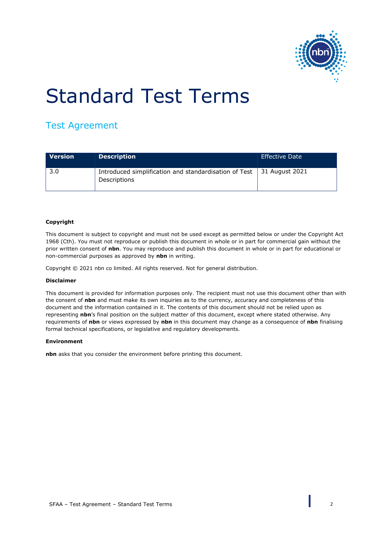

# Standard Test Terms

# Test Agreement

| <b>Version</b> | <b>Description</b>                                                                           | Effective Date |
|----------------|----------------------------------------------------------------------------------------------|----------------|
| 3.0            | Introduced simplification and standardisation of Test $\vert$ 31 August 2021<br>Descriptions |                |

#### **Copyright**

This document is subject to copyright and must not be used except as permitted below or under the Copyright Act 1968 (Cth). You must not reproduce or publish this document in whole or in part for commercial gain without the prior written consent of **nbn**. You may reproduce and publish this document in whole or in part for educational or non-commercial purposes as approved by **nbn** in writing.

Copyright © 2021 nbn co limited. All rights reserved. Not for general distribution.

#### **Disclaimer**

This document is provided for information purposes only. The recipient must not use this document other than with the consent of **nbn** and must make its own inquiries as to the currency, accuracy and completeness of this document and the information contained in it. The contents of this document should not be relied upon as representing **nbn**'s final position on the subject matter of this document, except where stated otherwise. Any requirements of **nbn** or views expressed by **nbn** in this document may change as a consequence of **nbn** finalising formal technical specifications, or legislative and regulatory developments.

#### **Environment**

**nbn** asks that you consider the environment before printing this document.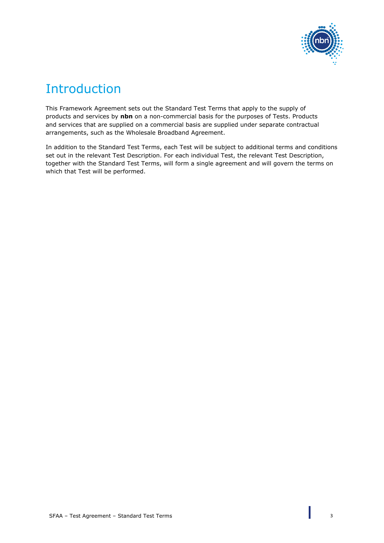

# Introduction

This Framework Agreement sets out the Standard Test Terms that apply to the supply of products and services by **nbn** on a non-commercial basis for the purposes of Tests. Products and services that are supplied on a commercial basis are supplied under separate contractual arrangements, such as the Wholesale Broadband Agreement.

In addition to the Standard Test Terms, each Test will be subject to additional terms and conditions set out in the relevant Test Description. For each individual Test, the relevant Test Description, together with the Standard Test Terms, will form a single agreement and will govern the terms on which that Test will be performed.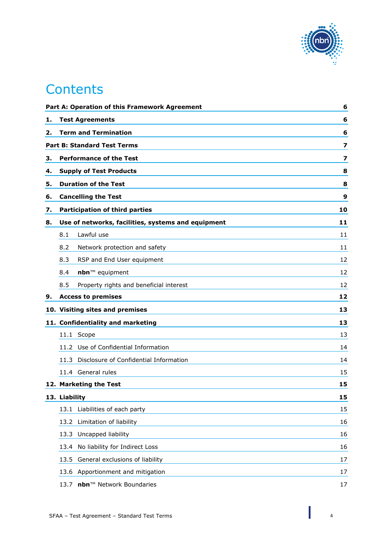

# **Contents**

|    |                                | Part A: Operation of this Framework Agreement      | 6  |
|----|--------------------------------|----------------------------------------------------|----|
| 1. |                                | <b>Test Agreements</b>                             | 6  |
| 2. |                                | <b>Term and Termination</b>                        | 6  |
|    |                                | <b>Part B: Standard Test Terms</b>                 | 7  |
| з. | <b>Performance of the Test</b> |                                                    | 7  |
| 4. | <b>Supply of Test Products</b> |                                                    | 8  |
| 5. | <b>Duration of the Test</b>    |                                                    | 8  |
| 6. |                                | <b>Cancelling the Test</b>                         | 9  |
| 7. |                                | <b>Participation of third parties</b>              | 10 |
| 8. |                                | Use of networks, facilities, systems and equipment | 11 |
|    | 8.1                            | Lawful use                                         | 11 |
|    | 8.2                            | Network protection and safety                      | 11 |
|    | 8.3                            | RSP and End User equipment                         | 12 |
|    | 8.4                            | nbn™ equipment                                     | 12 |
|    | 8.5                            | Property rights and beneficial interest            | 12 |
| 9. |                                | <b>Access to premises</b>                          | 12 |
|    |                                | 10. Visiting sites and premises                    | 13 |
|    |                                | 11. Confidentiality and marketing                  | 13 |
|    |                                | 11.1 Scope                                         | 13 |
|    |                                | 11.2 Use of Confidential Information               | 14 |
|    | 11.3                           | Disclosure of Confidential Information             | 14 |
|    |                                | 11.4 General rules                                 | 15 |
|    |                                | 12. Marketing the Test                             | 15 |
|    | 13. Liability                  |                                                    | 15 |
|    | 13.1                           | Liabilities of each party                          | 15 |
|    |                                | 13.2 Limitation of liability                       | 16 |
|    | 13.3                           | Uncapped liability                                 | 16 |
|    | 13.4                           | No liability for Indirect Loss                     | 16 |
|    | 13.5                           | General exclusions of liability                    | 17 |
|    |                                | 13.6 Apportionment and mitigation                  | 17 |
|    |                                | 13.7 nbn™ Network Boundaries                       | 17 |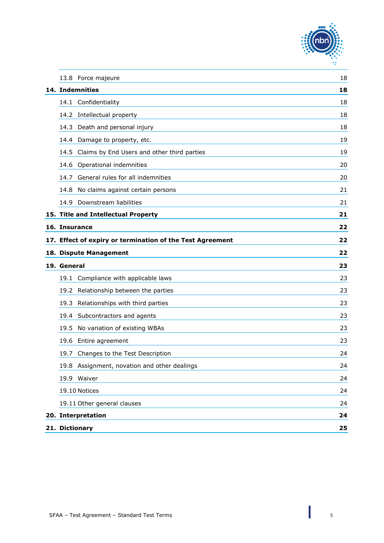

| 13.8 Force majeure                                              | 18 |
|-----------------------------------------------------------------|----|
| 14. Indemnities                                                 | 18 |
| 14.1 Confidentiality                                            | 18 |
| 14.2 Intellectual property                                      | 18 |
| 14.3 Death and personal injury                                  | 18 |
| 14.4 Damage to property, etc.                                   | 19 |
| Claims by End Users and other third parties<br>14.5             | 19 |
| Operational indemnities<br>14.6                                 | 20 |
| General rules for all indemnities<br>14.7                       | 20 |
| No claims against certain persons<br>14.8                       | 21 |
| Downstream liabilities<br>14.9                                  | 21 |
| 15. Title and Intellectual Property                             | 21 |
| 16. Insurance                                                   | 22 |
| 17. Effect of expiry or termination of the Test Agreement<br>22 |    |
| 18. Dispute Management                                          | 22 |
| 19. General                                                     | 23 |
| 19.1 Compliance with applicable laws                            | 23 |
| 19.2 Relationship between the parties                           | 23 |
| Relationships with third parties<br>19.3                        | 23 |
| 19.4 Subcontractors and agents                                  | 23 |
| No variation of existing WBAs<br>19.5                           | 23 |
| 19.6<br>Entire agreement                                        | 23 |
| 19.7 Changes to the Test Description                            | 24 |
| Assignment, novation and other dealings<br>19.8                 | 24 |
| 19.9 Waiver                                                     | 24 |
| 19.10 Notices                                                   | 24 |
| 19.11 Other general clauses                                     | 24 |
| 20. Interpretation                                              | 24 |
| 21. Dictionary                                                  | 25 |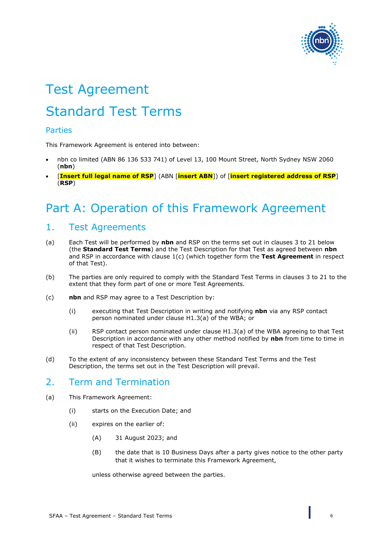

# Test Agreement Standard Test Terms

#### Parties

This Framework Agreement is entered into between:

- nbn co limited (ABN 86 136 533 741) of Level 13, 100 Mount Street, North Sydney NSW 2060 (**nbn**)
- [**Insert full legal name of RSP**] (ABN [**insert ABN**]) of [**insert registered address of RSP**] (**RSP**)

# <span id="page-5-0"></span>Part A: Operation of this Framework Agreement

# <span id="page-5-1"></span>1. Test Agreements

- <span id="page-5-5"></span>(a) Each Test will be performed by **nbn** and RSP on the terms set out in clauses [3](#page-6-1) to [21 below](#page-24-0) (the **Standard Test Terms**) and the Test Description for that Test as agreed between **nbn** and RSP in accordance with clause [1\(c\)](#page-5-3) (which together form the **Test Agreement** in respect of that Test).
- (b) The parties are only required to comply with the Standard Test Terms in clauses [3](#page-6-1) to [21](#page-24-0) to the extent that they form part of one or more Test Agreements.
- <span id="page-5-3"></span>(c) **nbn** and RSP may agree to a Test Description by:
	- (i) executing that Test Description in writing and notifying **nbn** via any RSP contact person nominated under clause H1.3(a) of the WBA; or
	- (ii) RSP contact person nominated under clause H1.3(a) of the WBA agreeing to that Test Description in accordance with any other method notified by **nbn** from time to time in respect of that Test Description.
- (d) To the extent of any inconsistency between these Standard Test Terms and the Test Description, the terms set out in the Test Description will prevail.

# <span id="page-5-2"></span>2. Term and Termination

- <span id="page-5-4"></span>(a) This Framework Agreement:
	- (i) starts on the Execution Date; and
	- (ii) expires on the earlier of:
		- (A) 31 August 2023; and
		- (B) the date that is 10 Business Days after a party gives notice to the other party that it wishes to terminate this Framework Agreement,

unless otherwise agreed between the parties.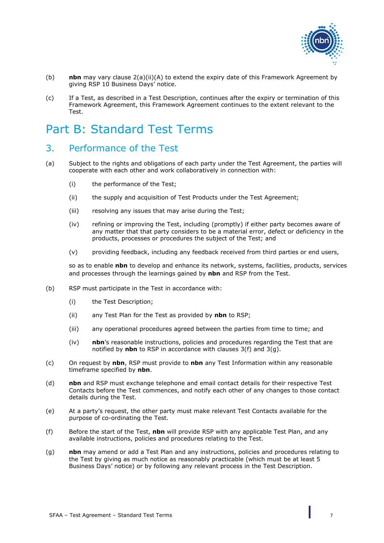

- (b) **nbn** may vary clause [2\(a\)\(ii\)\(A\)](#page-5-4) to extend the expiry date of this Framework Agreement by giving RSP 10 Business Days' notice.
- (c) If a Test, as described in a Test Description, continues after the expiry or termination of this Framework Agreement, this Framework Agreement continues to the extent relevant to the Test.

# <span id="page-6-0"></span>Part B: Standard Test Terms

# <span id="page-6-1"></span>3. Performance of the Test

- (a) Subject to the rights and obligations of each party under the Test Agreement, the parties will cooperate with each other and work collaboratively in connection with:
	- (i) the performance of the Test;
	- (ii) the supply and acquisition of Test Products under the Test Agreement;
	- (iii) resolving any issues that may arise during the Test;
	- (iv) refining or improving the Test, including (promptly) if either party becomes aware of any matter that that party considers to be a material error, defect or deficiency in the products, processes or procedures the subject of the Test; and
	- (v) providing feedback, including any feedback received from third parties or end users,

so as to enable **nbn** to develop and enhance its network, systems, facilities, products, services and processes through the learnings gained by **nbn** and RSP from the Test.

- (b) RSP must participate in the Test in accordance with:
	- (i) the Test Description;
	- (ii) any Test Plan for the Test as provided by **nbn** to RSP;
	- (iii) any operational procedures agreed between the parties from time to time; and
	- (iv) **nbn**'s reasonable instructions, policies and procedures regarding the Test that are notified by **nbn** to RSP in accordance with clauses [3\(f\)](#page-6-2) and [3\(g\).](#page-6-3)
- (c) On request by **nbn**, RSP must provide to **nbn** any Test Information within any reasonable timeframe specified by **nbn**.
- (d) **nbn** and RSP must exchange telephone and email contact details for their respective Test Contacts before the Test commences, and notify each other of any changes to those contact details during the Test.
- (e) At a party's request, the other party must make relevant Test Contacts available for the purpose of co-ordinating the Test.
- <span id="page-6-2"></span>(f) Before the start of the Test, **nbn** will provide RSP with any applicable Test Plan, and any available instructions, policies and procedures relating to the Test.
- <span id="page-6-3"></span>(g) **nbn** may amend or add a Test Plan and any instructions, policies and procedures relating to the Test by giving as much notice as reasonably practicable (which must be at least 5 Business Days' notice) or by following any relevant process in the Test Description.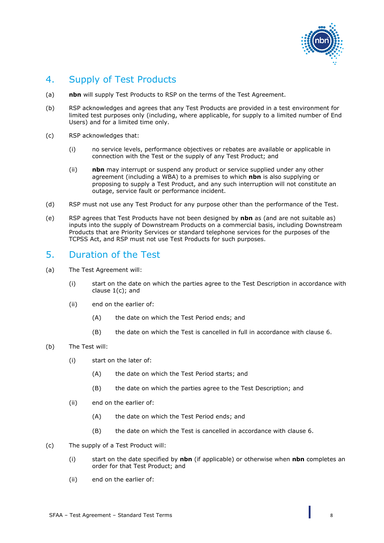

# <span id="page-7-0"></span>4. Supply of Test Products

- (a) **nbn** will supply Test Products to RSP on the terms of the Test Agreement.
- (b) RSP acknowledges and agrees that any Test Products are provided in a test environment for limited test purposes only (including, where applicable, for supply to a limited number of End Users) and for a limited time only.
- (c) RSP acknowledges that:
	- (i) no service levels, performance objectives or rebates are available or applicable in connection with the Test or the supply of any Test Product; and
	- (ii) **nbn** may interrupt or suspend any product or service supplied under any other agreement (including a WBA) to a premises to which **nbn** is also supplying or proposing to supply a Test Product, and any such interruption will not constitute an outage, service fault or performance incident.
- (d) RSP must not use any Test Product for any purpose other than the performance of the Test.
- (e) RSP agrees that Test Products have not been designed by **nbn** as (and are not suitable as) inputs into the supply of Downstream Products on a commercial basis, including Downstream Products that are Priority Services or standard telephone services for the purposes of the TCPSS Act, and RSP must not use Test Products for such purposes.

## <span id="page-7-1"></span>5. Duration of the Test

- (a) The Test Agreement will:
	- (i) start on the date on which the parties agree to the Test Description in accordance with clause [1\(c\);](#page-5-3) and
	- (ii) end on the earlier of:
		- (A) the date on which the Test Period ends; and
		- (B) the date on which the Test is cancelled in full in accordance with clause [6.](#page-8-0)

#### (b) The Test will:

- (i) start on the later of:
	- (A) the date on which the Test Period starts; and
	- (B) the date on which the parties agree to the Test Description; and
- (ii) end on the earlier of:
	- (A) the date on which the Test Period ends; and
	- (B) the date on which the Test is cancelled in accordance with clause [6.](#page-8-0)
- (c) The supply of a Test Product will:
	- (i) start on the date specified by **nbn** (if applicable) or otherwise when **nbn** completes an order for that Test Product; and
	- (ii) end on the earlier of: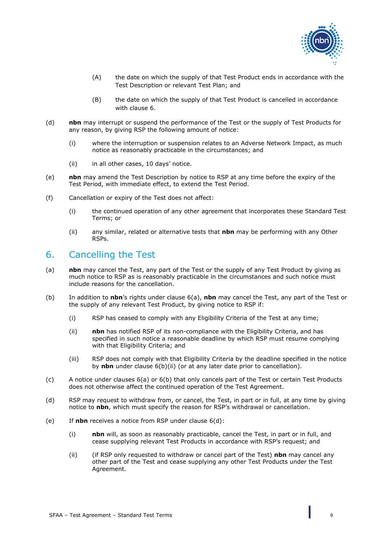

- (A) the date on which the supply of that Test Product ends in accordance with the Test Description or relevant Test Plan; and
- (B) the date on which the supply of that Test Product is cancelled in accordance with clause [6.](#page-8-0)
- (d) **nbn** may interrupt or suspend the performance of the Test or the supply of Test Products for any reason, by giving RSP the following amount of notice:
	- (i) where the interruption or suspension relates to an Adverse Network Impact, as much notice as reasonably practicable in the circumstances; and
	- (ii) in all other cases, 10 days' notice.
- (e) **nbn** may amend the Test Description by notice to RSP at any time before the expiry of the Test Period, with immediate effect, to extend the Test Period.
- (f) Cancellation or expiry of the Test does not affect:
	- (i) the continued operation of any other agreement that incorporates these Standard Test Terms; or
	- (ii) any similar, related or alternative tests that **nbn** may be performing with any Other RSPs.

# <span id="page-8-0"></span>6. Cancelling the Test

- <span id="page-8-1"></span>(a) **nbn** may cancel the Test, any part of the Test or the supply of any Test Product by giving as much notice to RSP as is reasonably practicable in the circumstances and such notice must include reasons for the cancellation.
- <span id="page-8-3"></span><span id="page-8-2"></span>(b) In addition to **nbn**'s rights under clause [6\(a\),](#page-8-1) **nbn** may cancel the Test, any part of the Test or the supply of any relevant Test Product, by giving notice to RSP if:
	- (i) RSP has ceased to comply with any Eligibility Criteria of the Test at any time;
	- (ii) **nbn** has notified RSP of its non-compliance with the Eligibility Criteria, and has specified in such notice a reasonable deadline by which RSP must resume complying with that Eligibility Criteria; and
	- (iii) RSP does not comply with that Eligibility Criteria by the deadline specified in the notice by **nbn** under clause [6\(b\)\(ii\)](#page-8-2) (or at any later date prior to cancellation).
- (c) A notice under clauses [6\(a\)](#page-8-1) or [6\(b\)](#page-8-3) that only cancels part of the Test or certain Test Products does not otherwise affect the continued operation of the Test Agreement.
- <span id="page-8-4"></span>(d) RSP may request to withdraw from, or cancel, the Test, in part or in full, at any time by giving notice to **nbn**, which must specify the reason for RSP's withdrawal or cancellation.
- (e) If **nbn** receives a notice from RSP under clause [6\(d\):](#page-8-4)
	- (i) **nbn** will, as soon as reasonably practicable, cancel the Test, in part or in full, and cease supplying relevant Test Products in accordance with RSP's request; and
	- (ii) (if RSP only requested to withdraw or cancel part of the Test) **nbn** may cancel any other part of the Test and cease supplying any other Test Products under the Test Agreement.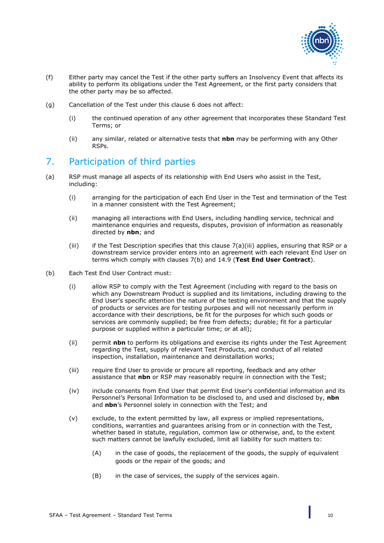

- (f) Either party may cancel the Test if the other party suffers an Insolvency Event that affects its ability to perform its obligations under the Test Agreement, or the first party considers that the other party may be so affected.
- (g) Cancellation of the Test under this clause [6](#page-8-0) does not affect:
	- (i) the continued operation of any other agreement that incorporates these Standard Test Terms; or
	- (ii) any similar, related or alternative tests that **nbn** may be performing with any Other RSPs.

# <span id="page-9-0"></span>7. Participation of third parties

- (a) RSP must manage all aspects of its relationship with End Users who assist in the Test, including:
	- (i) arranging for the participation of each End User in the Test and termination of the Test in a manner consistent with the Test Agreement;
	- (ii) managing all interactions with End Users, including handling service, technical and maintenance enquiries and requests, disputes, provision of information as reasonably directed by **nbn**; and
	- (iii) if the Test Description specifies that this clause  $7(a)$ (iii) applies, ensuring that RSP or a downstream service provider enters into an agreement with each relevant End User on terms which comply with clauses [7\(b\)](#page-9-2) and [14.9](#page-20-1) (**Test End User Contract**).
- <span id="page-9-2"></span><span id="page-9-1"></span>(b) Each Test End User Contract must:
	- (i) allow RSP to comply with the Test Agreement (including with regard to the basis on which any Downstream Product is supplied and its limitations, including drawing to the End User's specific attention the nature of the testing environment and that the supply of products or services are for testing purposes and will not necessarily perform in accordance with their descriptions, be fit for the purposes for which such goods or services are commonly supplied; be free from defects; durable; fit for a particular purpose or supplied within a particular time; or at all);
	- (ii) permit **nbn** to perform its obligations and exercise its rights under the Test Agreement regarding the Test, supply of relevant Test Products, and conduct of all related inspection, installation, maintenance and deinstallation works;
	- (iii) require End User to provide or procure all reporting, feedback and any other assistance that **nbn** or RSP may reasonably require in connection with the Test;
	- (iv) include consents from End User that permit End User's confidential information and its Personnel's Personal Information to be disclosed to, and used and disclosed by, **nbn** and **nbn**'s Personnel solely in connection with the Test; and
	- (v) exclude, to the extent permitted by law, all express or implied representations, conditions, warranties and guarantees arising from or in connection with the Test, whether based in statute, regulation, common law or otherwise, and, to the extent such matters cannot be lawfully excluded, limit all liability for such matters to:
		- (A) in the case of goods, the replacement of the goods, the supply of equivalent goods or the repair of the goods; and
		- (B) in the case of services, the supply of the services again.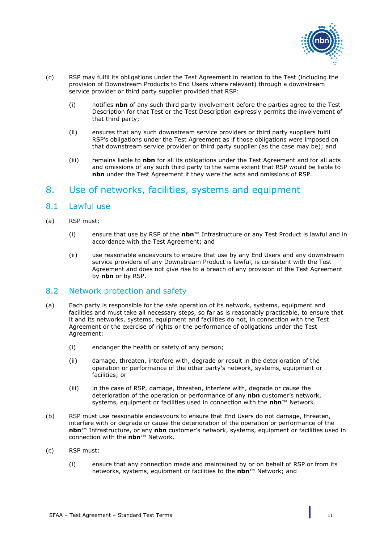

- <span id="page-10-3"></span>(c) RSP may fulfil its obligations under the Test Agreement in relation to the Test (including the provision of Downstream Products to End Users where relevant) through a downstream service provider or third party supplier provided that RSP:
	- (i) notifies **nbn** of any such third party involvement before the parties agree to the Test Description for that Test or the Test Description expressly permits the involvement of that third party;
	- (ii) ensures that any such downstream service providers or third party suppliers fulfil RSP's obligations under the Test Agreement as if those obligations were imposed on that downstream service provider or third party supplier (as the case may be); and
	- (iii) remains liable to **nbn** for all its obligations under the Test Agreement and for all acts and omissions of any such third party to the same extent that RSP would be liable to **nbn** under the Test Agreement if they were the acts and omissions of RSP.

# <span id="page-10-0"></span>8. Use of networks, facilities, systems and equipment

#### <span id="page-10-1"></span>8.1 Lawful use

- (a) RSP must:
	- (i) ensure that use by RSP of the **nbn**™ Infrastructure or any Test Product is lawful and in accordance with the Test Agreement; and
	- (ii) use reasonable endeavours to ensure that use by any End Users and any downstream service providers of any Downstream Product is lawful, is consistent with the Test Agreement and does not give rise to a breach of any provision of the Test Agreement by **nbn** or by RSP.

#### <span id="page-10-2"></span>8.2 Network protection and safety

- (a) Each party is responsible for the safe operation of its network, systems, equipment and facilities and must take all necessary steps, so far as is reasonably practicable, to ensure that it and its networks, systems, equipment and facilities do not, in connection with the Test Agreement or the exercise of rights or the performance of obligations under the Test Agreement:
	- (i) endanger the health or safety of any person;
	- (ii) damage, threaten, interfere with, degrade or result in the deterioration of the operation or performance of the other party's network, systems, equipment or facilities; or
	- (iii) in the case of RSP, damage, threaten, interfere with, degrade or cause the deterioration of the operation or performance of any **nbn** customer's network, systems, equipment or facilities used in connection with the **nbn**™ Network.
- (b) RSP must use reasonable endeavours to ensure that End Users do not damage, threaten, interfere with or degrade or cause the deterioration of the operation or performance of the **nbn**™ Infrastructure, or any **nbn** customer's network, systems, equipment or facilities used in connection with the **nbn**™ Network.
- (c) RSP must:
	- (i) ensure that any connection made and maintained by or on behalf of RSP or from its networks, systems, equipment or facilities to the **nbn**™ Network; and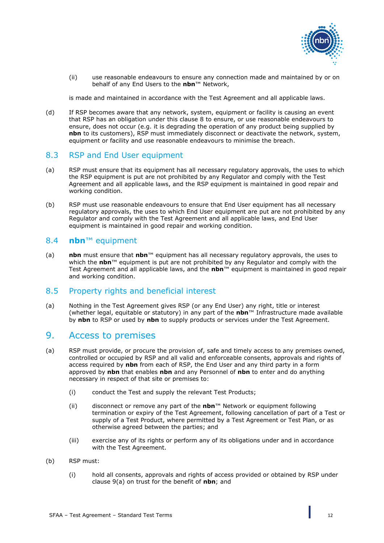

(ii) use reasonable endeavours to ensure any connection made and maintained by or on behalf of any End Users to the **nbn**™ Network,

is made and maintained in accordance with the Test Agreement and all applicable laws.

(d) If RSP becomes aware that any network, system, equipment or facility is causing an event that RSP has an obligation under this clause [8](#page-10-0) to ensure, or use reasonable endeavours to ensure, does not occur (e.g. it is degrading the operation of any product being supplied by **nbn** to its customers), RSP must immediately disconnect or deactivate the network, system, equipment or facility and use reasonable endeavours to minimise the breach.

#### <span id="page-11-0"></span>8.3 RSP and End User equipment

- (a) RSP must ensure that its equipment has all necessary regulatory approvals, the uses to which the RSP equipment is put are not prohibited by any Regulator and comply with the Test Agreement and all applicable laws, and the RSP equipment is maintained in good repair and working condition.
- (b) RSP must use reasonable endeavours to ensure that End User equipment has all necessary regulatory approvals, the uses to which End User equipment are put are not prohibited by any Regulator and comply with the Test Agreement and all applicable laws, and End User equipment is maintained in good repair and working condition.

#### <span id="page-11-1"></span>8.4 **nbn**™ equipment

(a) **nbn** must ensure that **nbn**™ equipment has all necessary regulatory approvals, the uses to which the **nbn**™ equipment is put are not prohibited by any Regulator and comply with the Test Agreement and all applicable laws, and the **nbn**™ equipment is maintained in good repair and working condition.

#### <span id="page-11-2"></span>8.5 Property rights and beneficial interest

(a) Nothing in the Test Agreement gives RSP (or any End User) any right, title or interest (whether legal, equitable or statutory) in any part of the **nbn**™ Infrastructure made available by **nbn** to RSP or used by **nbn** to supply products or services under the Test Agreement.

#### <span id="page-11-3"></span>9. Access to premises

- <span id="page-11-4"></span>(a) RSP must provide, or procure the provision of, safe and timely access to any premises owned, controlled or occupied by RSP and all valid and enforceable consents, approvals and rights of access required by **nbn** from each of RSP, the End User and any third party in a form approved by **nbn** that enables **nbn** and any Personnel of **nbn** to enter and do anything necessary in respect of that site or premises to:
	- (i) conduct the Test and supply the relevant Test Products;
	- (ii) disconnect or remove any part of the **nbn**™ Network or equipment following termination or expiry of the Test Agreement, following cancellation of part of a Test or supply of a Test Product, where permitted by a Test Agreement or Test Plan, or as otherwise agreed between the parties; and
	- (iii) exercise any of its rights or perform any of its obligations under and in accordance with the Test Agreement.
- (b) RSP must:
	- (i) hold all consents, approvals and rights of access provided or obtained by RSP under clause [9\(a\)](#page-11-4) on trust for the benefit of **nbn**; and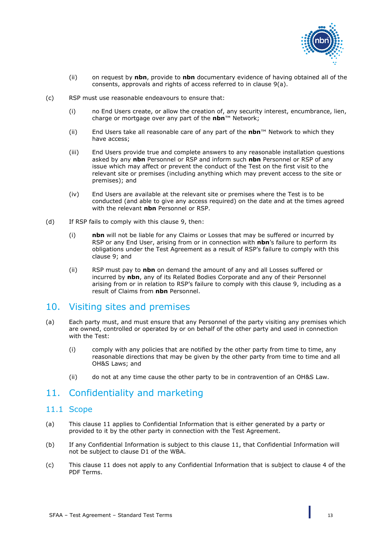

- (ii) on request by **nbn**, provide to **nbn** documentary evidence of having obtained all of the consents, approvals and rights of access referred to in clause [9\(a\).](#page-11-4)
- (c) RSP must use reasonable endeavours to ensure that:
	- (i) no End Users create, or allow the creation of, any security interest, encumbrance, lien, charge or mortgage over any part of the **nbn**™ Network;
	- (ii) End Users take all reasonable care of any part of the **nbn**™ Network to which they have access;
	- (iii) End Users provide true and complete answers to any reasonable installation questions asked by any **nbn** Personnel or RSP and inform such **nbn** Personnel or RSP of any issue which may affect or prevent the conduct of the Test on the first visit to the relevant site or premises (including anything which may prevent access to the site or premises); and
	- (iv) End Users are available at the relevant site or premises where the Test is to be conducted (and able to give any access required) on the date and at the times agreed with the relevant **nbn** Personnel or RSP.
- (d) If RSP fails to comply with this clause [9,](#page-11-3) then:
	- (i) **nbn** will not be liable for any Claims or Losses that may be suffered or incurred by RSP or any End User, arising from or in connection with **nbn**'s failure to perform its obligations under the Test Agreement as a result of RSP's failure to comply with this clause [9;](#page-11-3) and
	- (ii) RSP must pay to **nbn** on demand the amount of any and all Losses suffered or incurred by **nbn**, any of its Related Bodies Corporate and any of their Personnel arising from or in relation to RSP's failure to comply with this clause [9,](#page-11-3) including as a result of Claims from **nbn** Personnel.

## <span id="page-12-0"></span>10. Visiting sites and premises

- (a) Each party must, and must ensure that any Personnel of the party visiting any premises which are owned, controlled or operated by or on behalf of the other party and used in connection with the Test:
	- (i) comply with any policies that are notified by the other party from time to time, any reasonable directions that may be given by the other party from time to time and all OH&S Laws; and
	- (ii) do not at any time cause the other party to be in contravention of an OH&S Law.

## <span id="page-12-1"></span>11. Confidentiality and marketing

#### <span id="page-12-2"></span>11.1 Scope

- (a) This clause [11](#page-12-1) applies to Confidential Information that is either generated by a party or provided to it by the other party in connection with the Test Agreement.
- (b) If any Confidential Information is subject to this clause [11,](#page-12-1) that Confidential Information will not be subject to clause D1 of the WBA.
- (c) This clause [11](#page-12-1) does not apply to any Confidential Information that is subject to clause 4 of the PDF Terms.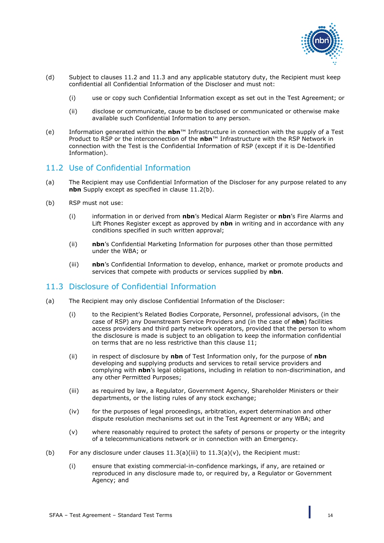

- (d) Subject to clauses [11.2](#page-13-0) and [11.3](#page-13-1) and any applicable statutory duty, the Recipient must keep confidential all Confidential Information of the Discloser and must not:
	- (i) use or copy such Confidential Information except as set out in the Test Agreement; or
	- (ii) disclose or communicate, cause to be disclosed or communicated or otherwise make available such Confidential Information to any person.
- <span id="page-13-6"></span>(e) Information generated within the **nbn**™ Infrastructure in connection with the supply of a Test Product to RSP or the interconnection of the **nbn**™ Infrastructure with the RSP Network in connection with the Test is the Confidential Information of RSP (except if it is De-Identified Information).

#### <span id="page-13-0"></span>11.2 Use of Confidential Information

- (a) The Recipient may use Confidential Information of the Discloser for any purpose related to any **nbn** Supply except as specified in clause [11.2\(b\).](#page-13-2)
- <span id="page-13-2"></span>(b) RSP must not use:
	- (i) information in or derived from **nbn**'s Medical Alarm Register or **nbn**'s Fire Alarms and Lift Phones Register except as approved by **nbn** in writing and in accordance with any conditions specified in such written approval;
	- (ii) **nbn**'s Confidential Marketing Information for purposes other than those permitted under the WBA; or
	- (iii) **nbn**'s Confidential Information to develop, enhance, market or promote products and services that compete with products or services supplied by **nbn**.

#### <span id="page-13-1"></span>11.3 Disclosure of Confidential Information

- (a) The Recipient may only disclose Confidential Information of the Discloser:
	- (i) to the Recipient's Related Bodies Corporate, Personnel, professional advisors, (in the case of RSP) any Downstream Service Providers and (in the case of **nbn**) facilities access providers and third party network operators, provided that the person to whom the disclosure is made is subject to an obligation to keep the information confidential on terms that are no less restrictive than this clause [11;](#page-12-1)
	- (ii) in respect of disclosure by **nbn** of Test Information only, for the purpose of **nbn** developing and supplying products and services to retail service providers and complying with **nbn**'s legal obligations, including in relation to non-discrimination, and any other Permitted Purposes;
	- (iii) as required by law, a Regulator, Government Agency, Shareholder Ministers or their departments, or the listing rules of any stock exchange;
	- (iv) for the purposes of legal proceedings, arbitration, expert determination and other dispute resolution mechanisms set out in the Test Agreement or any WBA; and
	- (v) where reasonably required to protect the safety of persons or property or the integrity of a telecommunications network or in connection with an Emergency.
- <span id="page-13-5"></span><span id="page-13-4"></span><span id="page-13-3"></span>(b) For any disclosure under clauses  $11.3(a)(iii)$  to  $11.3(a)(v)$ , the Recipient must:
	- (i) ensure that existing commercial-in-confidence markings, if any, are retained or reproduced in any disclosure made to, or required by, a Regulator or Government Agency; and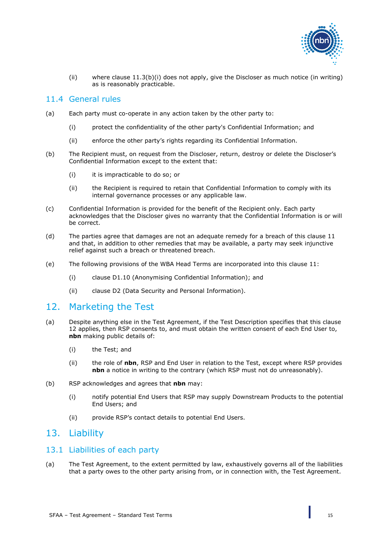

(ii) where clause  $11.3(b)(i)$  does not apply, give the Discloser as much notice (in writing) as is reasonably practicable.

#### <span id="page-14-0"></span>11.4 General rules

- (a) Each party must co-operate in any action taken by the other party to:
	- (i) protect the confidentiality of the other party's Confidential Information; and
	- (ii) enforce the other party's rights regarding its Confidential Information.
- (b) The Recipient must, on request from the Discloser, return, destroy or delete the Discloser's Confidential Information except to the extent that:
	- (i) it is impracticable to do so; or
	- (ii) the Recipient is required to retain that Confidential Information to comply with its internal governance processes or any applicable law.
- (c) Confidential Information is provided for the benefit of the Recipient only. Each party acknowledges that the Discloser gives no warranty that the Confidential Information is or will be correct.
- (d) The parties agree that damages are not an adequate remedy for a breach of this clause [11](#page-12-1) and that, in addition to other remedies that may be available, a party may seek injunctive relief against such a breach or threatened breach.
- (e) The following provisions of the WBA Head Terms are incorporated into this clause [11:](#page-12-1)
	- (i) clause D1.10 (Anonymising Confidential Information); and
	- (ii) clause D2 (Data Security and Personal Information).

## <span id="page-14-1"></span>12. Marketing the Test

- (a) Despite anything else in the Test Agreement, if the Test Description specifies that this clause [12](#page-14-1) applies, then RSP consents to, and must obtain the written consent of each End User to, **nbn** making public details of:
	- (i) the Test; and
	- (ii) the role of **nbn**, RSP and End User in relation to the Test, except where RSP provides **nbn** a notice in writing to the contrary (which RSP must not do unreasonably).
- (b) RSP acknowledges and agrees that **nbn** may:
	- (i) notify potential End Users that RSP may supply Downstream Products to the potential End Users; and
	- (ii) provide RSP's contact details to potential End Users.

## <span id="page-14-2"></span>13. Liability

#### <span id="page-14-3"></span>13.1 Liabilities of each party

(a) The Test Agreement, to the extent permitted by law, exhaustively governs all of the liabilities that a party owes to the other party arising from, or in connection with, the Test Agreement.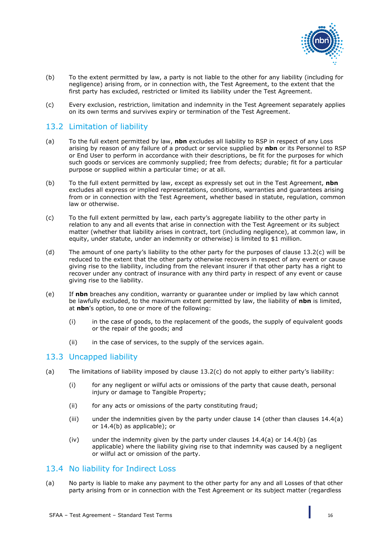

- (b) To the extent permitted by law, a party is not liable to the other for any liability (including for negligence) arising from, or in connection with, the Test Agreement, to the extent that the first party has excluded, restricted or limited its liability under the Test Agreement.
- (c) Every exclusion, restriction, limitation and indemnity in the Test Agreement separately applies on its own terms and survives expiry or termination of the Test Agreement.

#### <span id="page-15-0"></span>13.2 Limitation of liability

- (a) To the full extent permitted by law, **nbn** excludes all liability to RSP in respect of any Loss arising by reason of any failure of a product or service supplied by **nbn** or its Personnel to RSP or End User to perform in accordance with their descriptions, be fit for the purposes for which such goods or services are commonly supplied; free from defects; durable; fit for a particular purpose or supplied within a particular time; or at all.
- (b) To the full extent permitted by law, except as expressly set out in the Test Agreement, **nbn** excludes all express or implied representations, conditions, warranties and guarantees arising from or in connection with the Test Agreement, whether based in statute, regulation, common law or otherwise.
- <span id="page-15-3"></span>(c) To the full extent permitted by law, each party's aggregate liability to the other party in relation to any and all events that arise in connection with the Test Agreement or its subject matter (whether that liability arises in contract, tort (including negligence), at common law, in equity, under statute, under an indemnity or otherwise) is limited to \$1 million.
- (d) The amount of one party's liability to the other party for the purposes of clause [13.2\(c\)](#page-15-3) will be reduced to the extent that the other party otherwise recovers in respect of any event or cause giving rise to the liability, including from the relevant insurer if that other party has a right to recover under any contract of insurance with any third party in respect of any event or cause giving rise to the liability.
- (e) If **nbn** breaches any condition, warranty or guarantee under or implied by law which cannot be lawfully excluded, to the maximum extent permitted by law, the liability of **nbn** is limited, at **nbn**'s option, to one or more of the following:
	- (i) in the case of goods, to the replacement of the goods, the supply of equivalent goods or the repair of the goods; and
	- (ii) in the case of services, to the supply of the services again.

#### <span id="page-15-1"></span>13.3 Uncapped liability

- <span id="page-15-6"></span><span id="page-15-5"></span>(a) The limitations of liability imposed by clause [13.2\(c\)](#page-15-3) do not apply to either party's liability:
	- (i) for any negligent or wilful acts or omissions of the party that cause death, personal injury or damage to Tangible Property;
	- (ii) for any acts or omissions of the party constituting fraud;
	- (iii) under the indemnities given by the party under clause  $14$  (other than clauses  $14.4(a)$ ) or [14.4\(b\)](#page-18-3) as applicable); or
	- (iv) under the indemnity given by the party under clauses  $14.4(a)$  or  $14.4(b)$  (as applicable) where the liability giving rise to that indemnity was caused by a negligent or wilful act or omission of the party.

#### <span id="page-15-2"></span>13.4 No liability for Indirect Loss

<span id="page-15-4"></span>(a) No party is liable to make any payment to the other party for any and all Losses of that other party arising from or in connection with the Test Agreement or its subject matter (regardless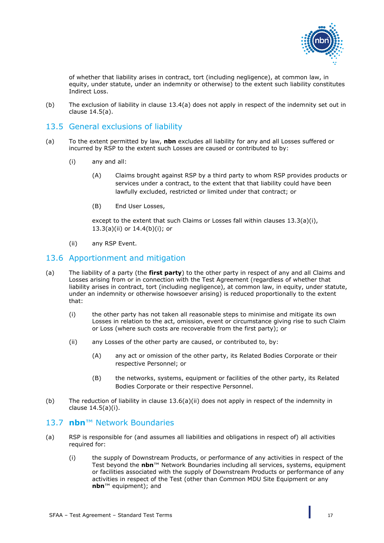

of whether that liability arises in contract, tort (including negligence), at common law, in equity, under statute, under an indemnity or otherwise) to the extent such liability constitutes Indirect Loss.

(b) The exclusion of liability in clause [13.4\(a\)](#page-15-4) does not apply in respect of the indemnity set out in clause [14.5\(a\).](#page-18-4)

#### <span id="page-16-0"></span>13.5 General exclusions of liability

- (a) To the extent permitted by law, **nbn** excludes all liability for any and all Losses suffered or incurred by RSP to the extent such Losses are caused or contributed to by:
	- (i) any and all:
		- (A) Claims brought against RSP by a third party to whom RSP provides products or services under a contract, to the extent that that liability could have been lawfully excluded, restricted or limited under that contract; or
		- (B) End User Losses,

except to the extent that such Claims or Losses fall within clauses [13.3\(a\)\(i\),](#page-15-5) [13.3\(a\)\(ii\)](#page-15-6) or [14.4\(b\)\(i\);](#page-18-5) or

(ii) any RSP Event.

#### <span id="page-16-1"></span>13.6 Apportionment and mitigation

- (a) The liability of a party (the **first party**) to the other party in respect of any and all Claims and Losses arising from or in connection with the Test Agreement (regardless of whether that liability arises in contract, tort (including negligence), at common law, in equity, under statute, under an indemnity or otherwise howsoever arising) is reduced proportionally to the extent that:
	- (i) the other party has not taken all reasonable steps to minimise and mitigate its own Losses in relation to the act, omission, event or circumstance giving rise to such Claim or Loss (where such costs are recoverable from the first party); or
	- (ii) any Losses of the other party are caused, or contributed to, by:
		- (A) any act or omission of the other party, its Related Bodies Corporate or their respective Personnel; or
		- (B) the networks, systems, equipment or facilities of the other party, its Related Bodies Corporate or their respective Personnel.
- <span id="page-16-3"></span>(b) The reduction of liability in clause  $13.6(a)$  (ii) does not apply in respect of the indemnity in clause [14.5\(a\)\(i\).](#page-18-6)

#### <span id="page-16-2"></span>13.7 **nbn**™ Network Boundaries

- (a) RSP is responsible for (and assumes all liabilities and obligations in respect of) all activities required for:
	- (i) the supply of Downstream Products, or performance of any activities in respect of the Test beyond the **nbn**™ Network Boundaries including all services, systems, equipment or facilities associated with the supply of Downstream Products or performance of any activities in respect of the Test (other than Common MDU Site Equipment or any **nbn**™ equipment); and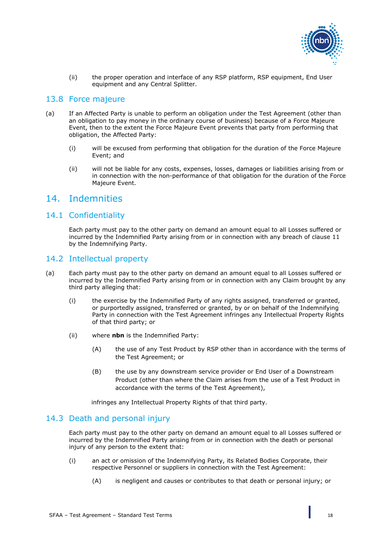

(ii) the proper operation and interface of any RSP platform, RSP equipment, End User equipment and any Central Splitter.

#### <span id="page-17-0"></span>13.8 Force majeure

- (a) If an Affected Party is unable to perform an obligation under the Test Agreement (other than an obligation to pay money in the ordinary course of business) because of a Force Majeure Event, then to the extent the Force Majeure Event prevents that party from performing that obligation, the Affected Party:
	- (i) will be excused from performing that obligation for the duration of the Force Majeure Event; and
	- (ii) will not be liable for any costs, expenses, losses, damages or liabilities arising from or in connection with the non-performance of that obligation for the duration of the Force Majeure Event.

#### <span id="page-17-1"></span>14. Indemnities

#### <span id="page-17-2"></span>14.1 Confidentiality

Each party must pay to the other party on demand an amount equal to all Losses suffered or incurred by the Indemnified Party arising from or in connection with any breach of clause [11](#page-12-1) by the Indemnifying Party.

#### <span id="page-17-3"></span>14.2 Intellectual property

- (a) Each party must pay to the other party on demand an amount equal to all Losses suffered or incurred by the Indemnified Party arising from or in connection with any Claim brought by any third party alleging that:
	- (i) the exercise by the Indemnified Party of any rights assigned, transferred or granted, or purportedly assigned, transferred or granted, by or on behalf of the Indemnifying Party in connection with the Test Agreement infringes any Intellectual Property Rights of that third party; or
	- (ii) where **nbn** is the Indemnified Party:
		- (A) the use of any Test Product by RSP other than in accordance with the terms of the Test Agreement; or
		- (B) the use by any downstream service provider or End User of a Downstream Product (other than where the Claim arises from the use of a Test Product in accordance with the terms of the Test Agreement),

infringes any Intellectual Property Rights of that third party.

#### <span id="page-17-4"></span>14.3 Death and personal injury

Each party must pay to the other party on demand an amount equal to all Losses suffered or incurred by the Indemnified Party arising from or in connection with the death or personal injury of any person to the extent that:

- (i) an act or omission of the Indemnifying Party, its Related Bodies Corporate, their respective Personnel or suppliers in connection with the Test Agreement:
	- (A) is negligent and causes or contributes to that death or personal injury; or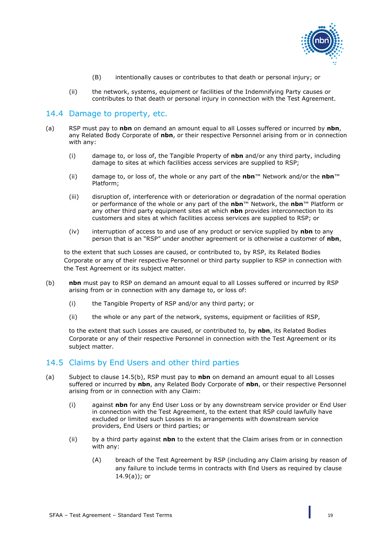

- (B) intentionally causes or contributes to that death or personal injury; or
- (ii) the network, systems, equipment or facilities of the Indemnifying Party causes or contributes to that death or personal injury in connection with the Test Agreement.

#### <span id="page-18-0"></span>14.4 Damage to property, etc.

- <span id="page-18-2"></span>(a) RSP must pay to **nbn** on demand an amount equal to all Losses suffered or incurred by **nbn**, any Related Body Corporate of **nbn**, or their respective Personnel arising from or in connection with any:
	- (i) damage to, or loss of, the Tangible Property of **nbn** and/or any third party, including damage to sites at which facilities access services are supplied to RSP;
	- (ii) damage to, or loss of, the whole or any part of the **nbn**™ Network and/or the **nbn**™ Platform;
	- (iii) disruption of, interference with or deterioration or degradation of the normal operation or performance of the whole or any part of the **nbn**™ Network, the **nbn**™ Platform or any other third party equipment sites at which **nbn** provides interconnection to its customers and sites at which facilities access services are supplied to RSP; or
	- (iv) interruption of access to and use of any product or service supplied by **nbn** to any person that is an "RSP" under another agreement or is otherwise a customer of **nbn**,

to the extent that such Losses are caused, or contributed to, by RSP, its Related Bodies Corporate or any of their respective Personnel or third party supplier to RSP in connection with the Test Agreement or its subject matter.

- <span id="page-18-5"></span><span id="page-18-3"></span>(b) **nbn** must pay to RSP on demand an amount equal to all Losses suffered or incurred by RSP arising from or in connection with any damage to, or loss of:
	- (i) the Tangible Property of RSP and/or any third party; or
	- (ii) the whole or any part of the network, systems, equipment or facilities of RSP,

to the extent that such Losses are caused, or contributed to, by **nbn**, its Related Bodies Corporate or any of their respective Personnel in connection with the Test Agreement or its subject matter.

#### <span id="page-18-1"></span>14.5 Claims by End Users and other third parties

- <span id="page-18-6"></span><span id="page-18-4"></span>(a) Subject to clause [14.5\(b\),](#page-19-2) RSP must pay to **nbn** on demand an amount equal to all Losses suffered or incurred by **nbn**, any Related Body Corporate of **nbn**, or their respective Personnel arising from or in connection with any Claim:
	- (i) against **nbn** for any End User Loss or by any downstream service provider or End User in connection with the Test Agreement, to the extent that RSP could lawfully have excluded or limited such Losses in its arrangements with downstream service providers, End Users or third parties; or
	- (ii) by a third party against **nbn** to the extent that the Claim arises from or in connection with any:
		- (A) breach of the Test Agreement by RSP (including any Claim arising by reason of any failure to include terms in contracts with End Users as required by clause [14.9\(a\)\)](#page-20-3); or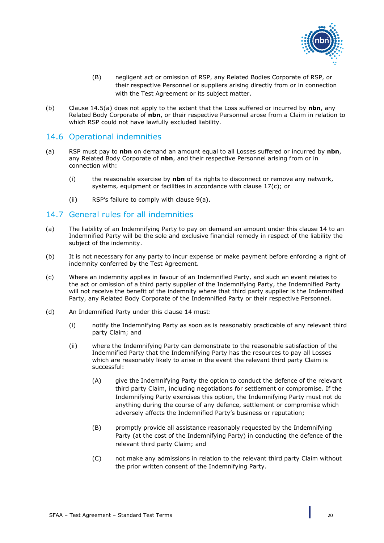<span id="page-19-2"></span>

- (B) negligent act or omission of RSP, any Related Bodies Corporate of RSP, or their respective Personnel or suppliers arising directly from or in connection with the Test Agreement or its subject matter.
- (b) Clause [14.5\(a\)](#page-18-4) does not apply to the extent that the Loss suffered or incurred by **nbn**, any Related Body Corporate of **nbn**, or their respective Personnel arose from a Claim in relation to which RSP could not have lawfully excluded liability.

#### <span id="page-19-0"></span>14.6 Operational indemnities

- (a) RSP must pay to **nbn** on demand an amount equal to all Losses suffered or incurred by **nbn**, any Related Body Corporate of **nbn**, and their respective Personnel arising from or in connection with:
	- (i) the reasonable exercise by **nbn** of its rights to disconnect or remove any network, systems, equipment or facilities in accordance with clause [17\(c\);](#page-21-3) or
	- (ii) RSP's failure to comply with clause [9\(a\).](#page-11-4)

#### <span id="page-19-1"></span>14.7 General rules for all indemnities

- (a) The liability of an Indemnifying Party to pay on demand an amount under this clause [14](#page-17-1) to an Indemnified Party will be the sole and exclusive financial remedy in respect of the liability the subject of the indemnity.
- (b) It is not necessary for any party to incur expense or make payment before enforcing a right of indemnity conferred by the Test Agreement.
- (c) Where an indemnity applies in favour of an Indemnified Party, and such an event relates to the act or omission of a third party supplier of the Indemnifying Party, the Indemnified Party will not receive the benefit of the indemnity where that third party supplier is the Indemnified Party, any Related Body Corporate of the Indemnified Party or their respective Personnel.
- <span id="page-19-3"></span>(d) An Indemnified Party under this clause [14](#page-17-1) must:
	- (i) notify the Indemnifying Party as soon as is reasonably practicable of any relevant third party Claim; and
	- (ii) where the Indemnifying Party can demonstrate to the reasonable satisfaction of the Indemnified Party that the Indemnifying Party has the resources to pay all Losses which are reasonably likely to arise in the event the relevant third party Claim is successful:
		- (A) give the Indemnifying Party the option to conduct the defence of the relevant third party Claim, including negotiations for settlement or compromise. If the Indemnifying Party exercises this option, the Indemnifying Party must not do anything during the course of any defence, settlement or compromise which adversely affects the Indemnified Party's business or reputation;
		- (B) promptly provide all assistance reasonably requested by the Indemnifying Party (at the cost of the Indemnifying Party) in conducting the defence of the relevant third party Claim; and
		- (C) not make any admissions in relation to the relevant third party Claim without the prior written consent of the Indemnifying Party.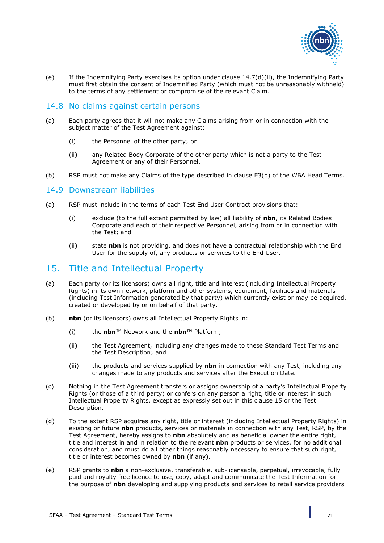

(e) If the Indemnifying Party exercises its option under clause [14.7\(d\)\(ii\),](#page-19-3) the Indemnifying Party must first obtain the consent of Indemnified Party (which must not be unreasonably withheld) to the terms of any settlement or compromise of the relevant Claim.

#### <span id="page-20-0"></span>14.8 No claims against certain persons

- (a) Each party agrees that it will not make any Claims arising from or in connection with the subject matter of the Test Agreement against:
	- (i) the Personnel of the other party; or
	- (ii) any Related Body Corporate of the other party which is not a party to the Test Agreement or any of their Personnel.
- (b) RSP must not make any Claims of the type described in clause E3(b) of the WBA Head Terms.

#### <span id="page-20-1"></span>14.9 Downstream liabilities

- <span id="page-20-3"></span>(a) RSP must include in the terms of each Test End User Contract provisions that:
	- (i) exclude (to the full extent permitted by law) all liability of **nbn**, its Related Bodies Corporate and each of their respective Personnel, arising from or in connection with the Test; and
	- (ii) state **nbn** is not providing, and does not have a contractual relationship with the End User for the supply of, any products or services to the End User.

## <span id="page-20-2"></span>15. Title and Intellectual Property

- (a) Each party (or its licensors) owns all right, title and interest (including Intellectual Property Rights) in its own network, platform and other systems, equipment, facilities and materials (including Test Information generated by that party) which currently exist or may be acquired, created or developed by or on behalf of that party.
- (b) **nbn** (or its licensors) owns all Intellectual Property Rights in:
	- (i) the **nbn**™ Network and the **nbn™** Platform;
	- (ii) the Test Agreement, including any changes made to these Standard Test Terms and the Test Description; and
	- (iii) the products and services supplied by **nbn** in connection with any Test, including any changes made to any products and services after the Execution Date.
- (c) Nothing in the Test Agreement transfers or assigns ownership of a party's Intellectual Property Rights (or those of a third party) or confers on any person a right, title or interest in such Intellectual Property Rights, except as expressly set out in this clause [15](#page-20-2) or the Test Description.
- (d) To the extent RSP acquires any right, title or interest (including Intellectual Property Rights) in existing or future **nbn** products, services or materials in connection with any Test, RSP, by the Test Agreement, hereby assigns to **nbn** absolutely and as beneficial owner the entire right, title and interest in and in relation to the relevant **nbn** products or services, for no additional consideration, and must do all other things reasonably necessary to ensure that such right, title or interest becomes owned by **nbn** (if any).
- (e) RSP grants to **nbn** a non-exclusive, transferable, sub-licensable, perpetual, irrevocable, fully paid and royalty free licence to use, copy, adapt and communicate the Test Information for the purpose of **nbn** developing and supplying products and services to retail service providers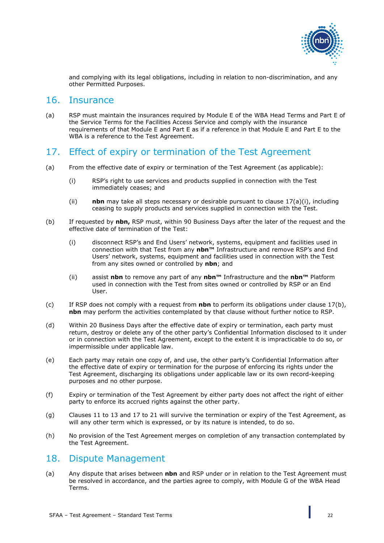

and complying with its legal obligations, including in relation to non-discrimination, and any other Permitted Purposes.

#### <span id="page-21-0"></span>16. Insurance

(a) RSP must maintain the insurances required by Module E of the WBA Head Terms and Part E of the Service Terms for the Facilities Access Service and comply with the insurance requirements of that Module E and Part E as if a reference in that Module E and Part E to the WBA is a reference to the Test Agreement.

## <span id="page-21-1"></span>17. Effect of expiry or termination of the Test Agreement

- <span id="page-21-4"></span>(a) From the effective date of expiry or termination of the Test Agreement (as applicable):
	- (i) RSP's right to use services and products supplied in connection with the Test immediately ceases; and
	- (ii) **nbn** may take all steps necessary or desirable pursuant to clause [17\(a\)\(i\),](#page-21-4) including ceasing to supply products and services supplied in connection with the Test.
- <span id="page-21-5"></span>(b) If requested by **nbn,** RSP must, within 90 Business Days after the later of the request and the effective date of termination of the Test:
	- (i) disconnect RSP's and End Users' network, systems, equipment and facilities used in connection with that Test from any **nbn™** Infrastructure and remove RSP's and End Users' network, systems, equipment and facilities used in connection with the Test from any sites owned or controlled by **nbn**; and
	- (ii) assist **nbn** to remove any part of any **nbn™** Infrastructure and the **nbn™** Platform used in connection with the Test from sites owned or controlled by RSP or an End User.
- <span id="page-21-3"></span>(c) If RSP does not comply with a request from **nbn** to perform its obligations under clause [17\(b\),](#page-21-5) **nbn** may perform the activities contemplated by that clause without further notice to RSP.
- (d) Within 20 Business Days after the effective date of expiry or termination, each party must return, destroy or delete any of the other party's Confidential Information disclosed to it under or in connection with the Test Agreement, except to the extent it is impracticable to do so, or impermissible under applicable law.
- (e) Each party may retain one copy of, and use, the other party's Confidential Information after the effective date of expiry or termination for the purpose of enforcing its rights under the Test Agreement, discharging its obligations under applicable law or its own record-keeping purposes and no other purpose.
- (f) Expiry or termination of the Test Agreement by either party does not affect the right of either party to enforce its accrued rights against the other party.
- (g) Clauses [11](#page-12-1) to [13](#page-14-2) and [17](#page-21-1) to [21](#page-24-0) will survive the termination or expiry of the Test Agreement, as will any other term which is expressed, or by its nature is intended, to do so.
- (h) No provision of the Test Agreement merges on completion of any transaction contemplated by the Test Agreement.

#### <span id="page-21-2"></span>18. Dispute Management

(a) Any dispute that arises between **nbn** and RSP under or in relation to the Test Agreement must be resolved in accordance, and the parties agree to comply, with Module G of the WBA Head Terms.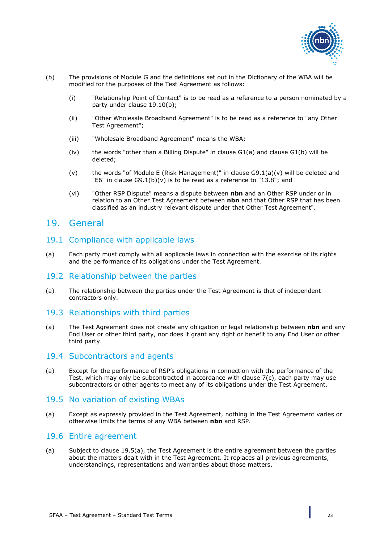

- (b) The provisions of Module G and the definitions set out in the Dictionary of the WBA will be modified for the purposes of the Test Agreement as follows:
	- (i) "Relationship Point of Contact" is to be read as a reference to a person nominated by a party under clause [19.10\(b\);](#page-23-6)
	- (ii) "Other Wholesale Broadband Agreement" is to be read as a reference to "any Other Test Agreement";
	- (iii) "Wholesale Broadband Agreement" means the WBA;
	- $(iv)$  the words "other than a Billing Dispute" in clause  $GI(a)$  and clause  $GI(b)$  will be deleted;
	- (v) the words "of Module E (Risk Management)" in clause  $G9.1(a)(v)$  will be deleted and "E6" in clause G9.1(b)(v) is to be read as a reference to ["13.8"](#page-17-0); and
	- (vi) "Other RSP Dispute" means a dispute between **nbn** and an Other RSP under or in relation to an Other Test Agreement between **nbn** and that Other RSP that has been classified as an industry relevant dispute under that Other Test Agreement".

#### <span id="page-22-0"></span>19. General

#### <span id="page-22-1"></span>19.1 Compliance with applicable laws

(a) Each party must comply with all applicable laws in connection with the exercise of its rights and the performance of its obligations under the Test Agreement.

#### <span id="page-22-2"></span>19.2 Relationship between the parties

(a) The relationship between the parties under the Test Agreement is that of independent contractors only.

#### <span id="page-22-3"></span>19.3 Relationships with third parties

(a) The Test Agreement does not create any obligation or legal relationship between **nbn** and any End User or other third party, nor does it grant any right or benefit to any End User or other third party.

#### <span id="page-22-4"></span>19.4 Subcontractors and agents

(a) Except for the performance of RSP's obligations in connection with the performance of the Test, which may only be subcontracted in accordance with clause [7\(c\),](#page-10-3) each party may use subcontractors or other agents to meet any of its obligations under the Test Agreement.

#### <span id="page-22-5"></span>19.5 No variation of existing WBAs

<span id="page-22-7"></span>(a) Except as expressly provided in the Test Agreement, nothing in the Test Agreement varies or otherwise limits the terms of any WBA between **nbn** and RSP.

#### <span id="page-22-6"></span>19.6 Entire agreement

(a) Subject to clause [19.5\(a\),](#page-22-7) the Test Agreement is the entire agreement between the parties about the matters dealt with in the Test Agreement. It replaces all previous agreements, understandings, representations and warranties about those matters.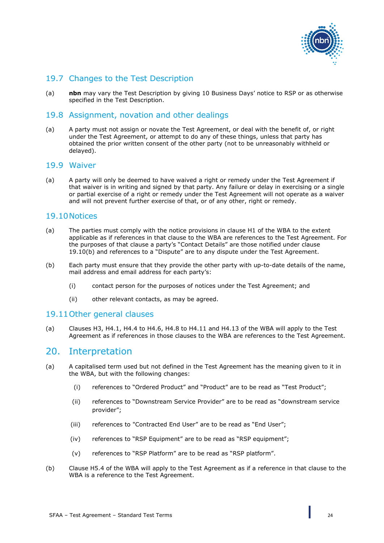

#### <span id="page-23-0"></span>19.7 Changes to the Test Description

(a) **nbn** may vary the Test Description by giving 10 Business Days' notice to RSP or as otherwise specified in the Test Description.

#### <span id="page-23-1"></span>19.8 Assignment, novation and other dealings

(a) A party must not assign or novate the Test Agreement, or deal with the benefit of, or right under the Test Agreement, or attempt to do any of these things, unless that party has obtained the prior written consent of the other party (not to be unreasonably withheld or delayed).

#### <span id="page-23-2"></span>19.9 Waiver

(a) A party will only be deemed to have waived a right or remedy under the Test Agreement if that waiver is in writing and signed by that party. Any failure or delay in exercising or a single or partial exercise of a right or remedy under the Test Agreement will not operate as a waiver and will not prevent further exercise of that, or of any other, right or remedy.

#### <span id="page-23-3"></span>19.10Notices

- (a) The parties must comply with the notice provisions in clause H1 of the WBA to the extent applicable as if references in that clause to the WBA are references to the Test Agreement. For the purposes of that clause a party's "Contact Details" are those notified under clause [19.10\(b\)](#page-23-6) and references to a "Dispute" are to any dispute under the Test Agreement.
- <span id="page-23-6"></span>(b) Each party must ensure that they provide the other party with up-to-date details of the name, mail address and email address for each party's:
	- (i) contact person for the purposes of notices under the Test Agreement; and
	- (ii) other relevant contacts, as may be agreed.

#### <span id="page-23-4"></span>19.11Other general clauses

(a) Clauses H3, H4.1, H4.4 to H4.6, H4.8 to H4.11 and H4.13 of the WBA will apply to the Test Agreement as if references in those clauses to the WBA are references to the Test Agreement.

#### <span id="page-23-5"></span>20. Interpretation

- (a) A capitalised term used but not defined in the Test Agreement has the meaning given to it in the WBA, but with the following changes:
	- (i) references to "Ordered Product" and "Product" are to be read as "Test Product";
	- (ii) references to "Downstream Service Provider" are to be read as "downstream service provider";
	- (iii) references to "Contracted End User" are to be read as "End User";
	- (iv) references to "RSP Equipment" are to be read as "RSP equipment";
	- (v) references to "RSP Platform" are to be read as "RSP platform".
- (b) Clause H5.4 of the WBA will apply to the Test Agreement as if a reference in that clause to the WBA is a reference to the Test Agreement.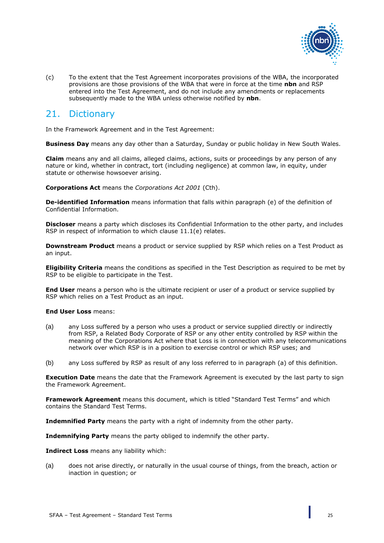

(c) To the extent that the Test Agreement incorporates provisions of the WBA, the incorporated provisions are those provisions of the WBA that were in force at the time **nbn** and RSP entered into the Test Agreement, and do not include any amendments or replacements subsequently made to the WBA unless otherwise notified by **nbn**.

# <span id="page-24-0"></span>21. Dictionary

In the Framework Agreement and in the Test Agreement:

**Business Day** means any day other than a Saturday, Sunday or public holiday in New South Wales.

**Claim** means any and all claims, alleged claims, actions, suits or proceedings by any person of any nature or kind, whether in contract, tort (including negligence) at common law, in equity, under statute or otherwise howsoever arising.

**Corporations Act** means the *Corporations Act 2001* (Cth).

**De-identified Information** means information that falls within paragraph (e) of the definition of Confidential Information.

**Discloser** means a party which discloses its Confidential Information to the other party, and includes RSP in respect of information to which clause [11.1\(e\)](#page-13-6) relates.

**Downstream Product** means a product or service supplied by RSP which relies on a Test Product as an input.

**Eligibility Criteria** means the conditions as specified in the Test Description as required to be met by RSP to be eligible to participate in the Test.

**End User** means a person who is the ultimate recipient or user of a product or service supplied by RSP which relies on a Test Product as an input.

**End User Loss** means:

- (a) any Loss suffered by a person who uses a product or service supplied directly or indirectly from RSP, a Related Body Corporate of RSP or any other entity controlled by RSP within the meaning of the Corporations Act where that Loss is in connection with any telecommunications network over which RSP is in a position to exercise control or which RSP uses; and
- (b) any Loss suffered by RSP as result of any loss referred to in paragraph (a) of this definition.

**Execution Date** means the date that the Framework Agreement is executed by the last party to sign the Framework Agreement.

**Framework Agreement** means this document, which is titled "Standard Test Terms" and which contains the Standard Test Terms.

**Indemnified Party** means the party with a right of indemnity from the other party.

**Indemnifying Party** means the party obliged to indemnify the other party.

**Indirect Loss** means any liability which:

(a) does not arise directly, or naturally in the usual course of things, from the breach, action or inaction in question; or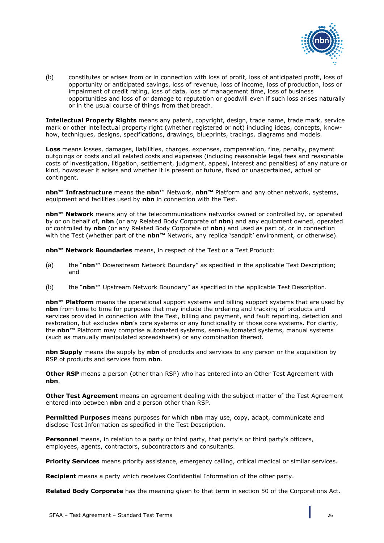

(b) constitutes or arises from or in connection with loss of profit, loss of anticipated profit, loss of opportunity or anticipated savings, loss of revenue, loss of income, loss of production, loss or impairment of credit rating, loss of data, loss of management time, loss of business opportunities and loss of or damage to reputation or goodwill even if such loss arises naturally or in the usual course of things from that breach.

**Intellectual Property Rights** means any patent, copyright, design, trade name, trade mark, service mark or other intellectual property right (whether registered or not) including ideas, concepts, knowhow, techniques, designs, specifications, drawings, blueprints, tracings, diagrams and models.

**Loss** means losses, damages, liabilities, charges, expenses, compensation, fine, penalty, payment outgoings or costs and all related costs and expenses (including reasonable legal fees and reasonable costs of investigation, litigation, settlement, judgment, appeal, interest and penalties) of any nature or kind, howsoever it arises and whether it is present or future, fixed or unascertained, actual or contingent.

**nbn™ Infrastructure** means the **nbn**™ Network, **nbn™** Platform and any other network, systems, equipment and facilities used by **nbn** in connection with the Test.

**nbn™ Network** means any of the telecommunications networks owned or controlled by, or operated by or on behalf of, **nbn** (or any Related Body Corporate of **nbn**) and any equipment owned, operated or controlled by **nbn** (or any Related Body Corporate of **nbn**) and used as part of, or in connection with the Test (whether part of the **nbn™** Network, any replica 'sandpit' environment, or otherwise).

**nbn™ Network Boundaries** means, in respect of the Test or a Test Product:

- (a) the "**nbn**™ Downstream Network Boundary" as specified in the applicable Test Description; and
- (b) the "**nbn**™ Upstream Network Boundary" as specified in the applicable Test Description.

**nbn™ Platform** means the operational support systems and billing support systems that are used by **nbn** from time to time for purposes that may include the ordering and tracking of products and services provided in connection with the Test, billing and payment, and fault reporting, detection and restoration, but excludes **nbn**'s core systems or any functionality of those core systems. For clarity, the **nbn™** Platform may comprise automated systems, semi-automated systems, manual systems (such as manually manipulated spreadsheets) or any combination thereof.

**nbn Supply** means the supply by **nbn** of products and services to any person or the acquisition by RSP of products and services from **nbn**.

**Other RSP** means a person (other than RSP) who has entered into an Other Test Agreement with **nbn**.

**Other Test Agreement** means an agreement dealing with the subject matter of the Test Agreement entered into between **nbn** and a person other than RSP.

**Permitted Purposes** means purposes for which **nbn** may use, copy, adapt, communicate and disclose Test Information as specified in the Test Description.

Personnel means, in relation to a party or third party, that party's or third party's officers, employees, agents, contractors, subcontractors and consultants.

**Priority Services** means priority assistance, emergency calling, critical medical or similar services.

**Recipient** means a party which receives Confidential Information of the other party.

**Related Body Corporate** has the meaning given to that term in section 50 of the Corporations Act.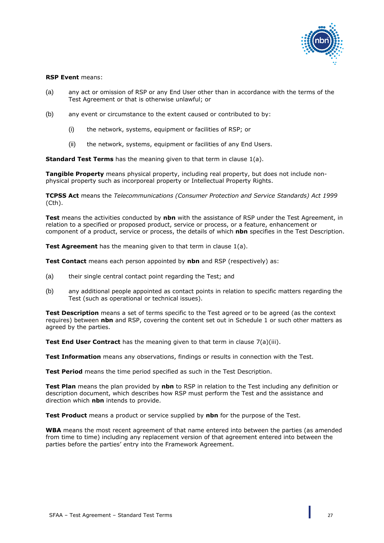

#### **RSP Event** means:

- (a) any act or omission of RSP or any End User other than in accordance with the terms of the Test Agreement or that is otherwise unlawful; or
- (b) any event or circumstance to the extent caused or contributed to by:
	- (i) the network, systems, equipment or facilities of RSP; or
	- (ii) the network, systems, equipment or facilities of any End Users.

**Standard Test Terms** has the meaning given to that term in clause [1\(a\).](#page-5-5)

**Tangible Property** means physical property, including real property, but does not include nonphysical property such as incorporeal property or Intellectual Property Rights.

**TCPSS Act** means the *Telecommunications (Consumer Protection and Service Standards) Act 1999* (Cth).

**Test** means the activities conducted by **nbn** with the assistance of RSP under the Test Agreement, in relation to a specified or proposed product, service or process, or a feature, enhancement or component of a product, service or process, the details of which **nbn** specifies in the Test Description.

**Test Agreement** has the meaning given to that term in clause [1\(a\).](#page-5-5)

**Test Contact** means each person appointed by **nbn** and RSP (respectively) as:

- (a) their single central contact point regarding the Test; and
- (b) any additional people appointed as contact points in relation to specific matters regarding the Test (such as operational or technical issues).

**Test Description** means a set of terms specific to the Test agreed or to be agreed (as the context requires) between **nbn** and RSP, covering the content set out in Schedule 1 or such other matters as agreed by the parties.

**Test End User Contract** has the meaning given to that term in clause [7\(a\)\(iii\).](#page-9-1)

**Test Information** means any observations, findings or results in connection with the Test.

**Test Period** means the time period specified as such in the Test Description.

**Test Plan** means the plan provided by **nbn** to RSP in relation to the Test including any definition or description document, which describes how RSP must perform the Test and the assistance and direction which **nbn** intends to provide.

**Test Product** means a product or service supplied by **nbn** for the purpose of the Test.

**WBA** means the most recent agreement of that name entered into between the parties (as amended from time to time) including any replacement version of that agreement entered into between the parties before the parties' entry into the Framework Agreement.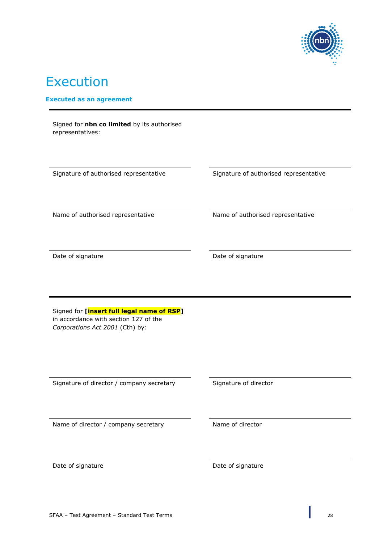

# Execution

#### **Executed as an agreement**

| Signature of authorised representative                                                                                                                                                                      | Signature of authorised representative |
|-------------------------------------------------------------------------------------------------------------------------------------------------------------------------------------------------------------|----------------------------------------|
| Name of authorised representative                                                                                                                                                                           | Name of authorised representative      |
| Date of signature                                                                                                                                                                                           | Date of signature                      |
|                                                                                                                                                                                                             |                                        |
|                                                                                                                                                                                                             |                                        |
|                                                                                                                                                                                                             | Signature of director                  |
| Signed for [insert full legal name of RSP]<br>in accordance with section 127 of the<br>Corporations Act 2001 (Cth) by:<br>Signature of director / company secretary<br>Name of director / company secretary | Name of director                       |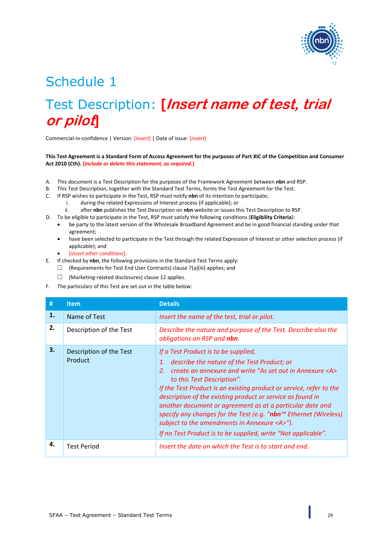

# Schedule 1

# Test Description: **[Insert name of test, trial or pilot]**

Commercial-in-confidence | Version: [*insert*] | Date of issue: [*insert*]

#### **This Test Agreement is a Standard Form of Access Agreement for the purposes of Part XIC of the Competition and Consumer Act 2010 (Cth). [***Include or delete this statement, as required.***]**

- A. This document is a Test Description for the purposes of the Framework Agreement between **nbn** and RSP.
- B. This Test Description, together with the Standard Test Terms, forms the Test Agreement for the Test.
- C. If RSP wishes to participate in the Test, RSP must notify **nbn** of its intention to participate;
	- i. during the related Expressions of Interest process (if applicable); or
	- ii. after **nbn** publishes the Test Description on **nbn** website or issues this Test Description to RSP.
- D. To be eligible to participate in the Test, RSP must satisfy the following conditions (**Eligibility Criteria**):
	- be party to the latest version of the Wholesale Broadband Agreement and be in good financial standing under that agreement;
	- have been selected to participate in the Test through the related Expression of Interest or other selection process (if applicable); and
	- [*insert other conditions*].
- E. If checked by **nbn**, the following provisions in the Standard Test Terms apply:
	- $\Box$  (Requirements for Test End User Contracts) clause [7\(a\)\(iii\)](#page-9-1) applies; and
		- ☐ (Marketing-related disclosures) claus[e 12](#page-14-1) applies.
- F. The particulars of this Test are set out in the table below:

| #  | <b>Item</b>                        | <b>Details</b>                                                                                                                                                                                                                                                                                                                                                                                                                                                                                                                                                                                                           |
|----|------------------------------------|--------------------------------------------------------------------------------------------------------------------------------------------------------------------------------------------------------------------------------------------------------------------------------------------------------------------------------------------------------------------------------------------------------------------------------------------------------------------------------------------------------------------------------------------------------------------------------------------------------------------------|
| 1. | Name of Test                       | Insert the name of the test, trial or pilot.                                                                                                                                                                                                                                                                                                                                                                                                                                                                                                                                                                             |
| 2. | Description of the Test            | Describe the nature and purpose of the Test. Describe also the<br>obligations on RSP and nbn.                                                                                                                                                                                                                                                                                                                                                                                                                                                                                                                            |
| 3. | Description of the Test<br>Product | If a Test Product is to be supplied,<br>describe the nature of the Test Product; or<br>1.<br>create an annexure and write "As set out in Annexure <a><br/>2.<br/>to this Test Description".<br/>If the Test Product is an existing product or service, refer to the<br/>description of the existing product or service as found in<br/>another document or agreement as at a particular date and<br/>specify any changes for the Test (e.g. "nbn<sup><math>m</math></sup> Ethernet (Wireless)<br/>subject to the amendments in Annexure <a>").<br/>If no Test Product is to be supplied, write "Not applicable".</a></a> |
| 4. | <b>Test Period</b>                 | Insert the date on which the Test is to start and end.                                                                                                                                                                                                                                                                                                                                                                                                                                                                                                                                                                   |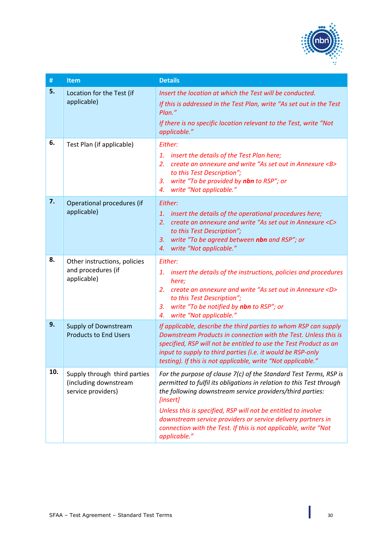

| $\#$ | Item                                                                        | <b>Details</b>                                                                                                                                                                                                                                                                                                                                                                                                                         |
|------|-----------------------------------------------------------------------------|----------------------------------------------------------------------------------------------------------------------------------------------------------------------------------------------------------------------------------------------------------------------------------------------------------------------------------------------------------------------------------------------------------------------------------------|
| 5.   | Location for the Test (if<br>applicable)                                    | Insert the location at which the Test will be conducted.<br>If this is addressed in the Test Plan, write "As set out in the Test<br>Plan."<br>If there is no specific location relevant to the Test, write "Not<br>applicable."                                                                                                                                                                                                        |
| 6.   | Test Plan (if applicable)                                                   | Either:<br>insert the details of the Test Plan here;<br>1.<br>create an annexure and write "As set out in Annexure <b><br/>2.<br/>to this Test Description";<br/>write "To be provided by nbn to RSP"; or<br/>3.<br/>write "Not applicable."<br/>4.</b>                                                                                                                                                                                |
| 7.   | Operational procedures (if<br>applicable)                                   | Either:<br>insert the details of the operational procedures here;<br>1.<br>create an annexure and write "As set out in Annexure <c><br/>2.<br/>to this Test Description";<br/>write "To be agreed between nbn and RSP"; or<br/>3.<br/>write "Not applicable."<br/>4.</c>                                                                                                                                                               |
| 8.   | Other instructions, policies<br>and procedures (if<br>applicable)           | Either:<br>1. insert the details of the instructions, policies and procedures<br>here;<br>create an annexure and write "As set out in Annexure <d><br/>2.<br/>to this Test Description";<br/>write "To be notified by nbn to RSP"; or<br/>3.<br/>write "Not applicable."<br/>4.</d>                                                                                                                                                    |
| 9.   | Supply of Downstream<br><b>Products to End Users</b>                        | If applicable, describe the third parties to whom RSP can supply<br>Downstream Products in connection with the Test. Unless this is<br>specified, RSP will not be entitled to use the Test Product as an<br>input to supply to third parties (i.e. it would be RSP-only<br>testing). If this is not applicable, write "Not applicable."                                                                                                |
| 10.  | Supply through third parties<br>(including downstream<br>service providers) | For the purpose of clause 7(c) of the Standard Test Terms, RSP is<br>permitted to fulfil its obligations in relation to this Test through<br>the following downstream service providers/third parties:<br>[insert]<br>Unless this is specified, RSP will not be entitled to involve<br>downstream service providers or service delivery partners in<br>connection with the Test. If this is not applicable, write "Not<br>applicable." |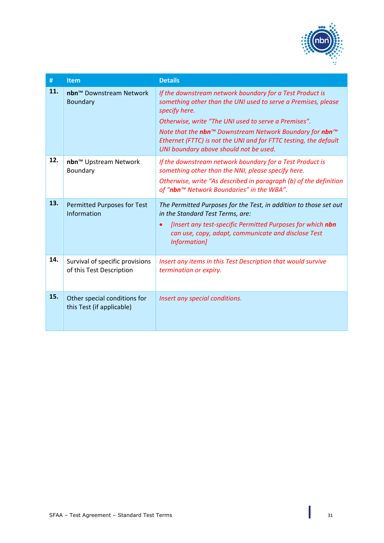

| #   | <b>Item</b>                                                 | <b>Details</b>                                                                                                                                                                                                                                                                                                                                                              |
|-----|-------------------------------------------------------------|-----------------------------------------------------------------------------------------------------------------------------------------------------------------------------------------------------------------------------------------------------------------------------------------------------------------------------------------------------------------------------|
| 11. | nbn™ Downstream Network<br>Boundary                         | If the downstream network boundary for a Test Product is<br>something other than the UNI used to serve a Premises, please<br>specify here.<br>Otherwise, write "The UNI used to serve a Premises".<br>Note that the nbn™ Downstream Network Boundary for nbn™<br>Ethernet (FTTC) is not the UNI and for FTTC testing, the default<br>UNI boundary above should not be used. |
| 12. | nbn™ Upstream Network<br>Boundary                           | If the downstream network boundary for a Test Product is<br>something other than the NNI, please specify here.<br>Otherwise, write "As described in paragraph (b) of the definition<br>of "nbn™ Network Boundaries" in the WBA".                                                                                                                                            |
| 13. | <b>Permitted Purposes for Test</b><br>Information           | The Permitted Purposes for the Test, in addition to those set out<br>in the Standard Test Terms, are:<br>[Insert any test-specific Permitted Purposes for which nbn<br>$\bullet$<br>can use, copy, adapt, communicate and disclose Test<br>Information]                                                                                                                     |
| 14. | Survival of specific provisions<br>of this Test Description | Insert any items in this Test Description that would survive<br>termination or expiry.                                                                                                                                                                                                                                                                                      |
| 15. | Other special conditions for<br>this Test (if applicable)   | Insert any special conditions.                                                                                                                                                                                                                                                                                                                                              |